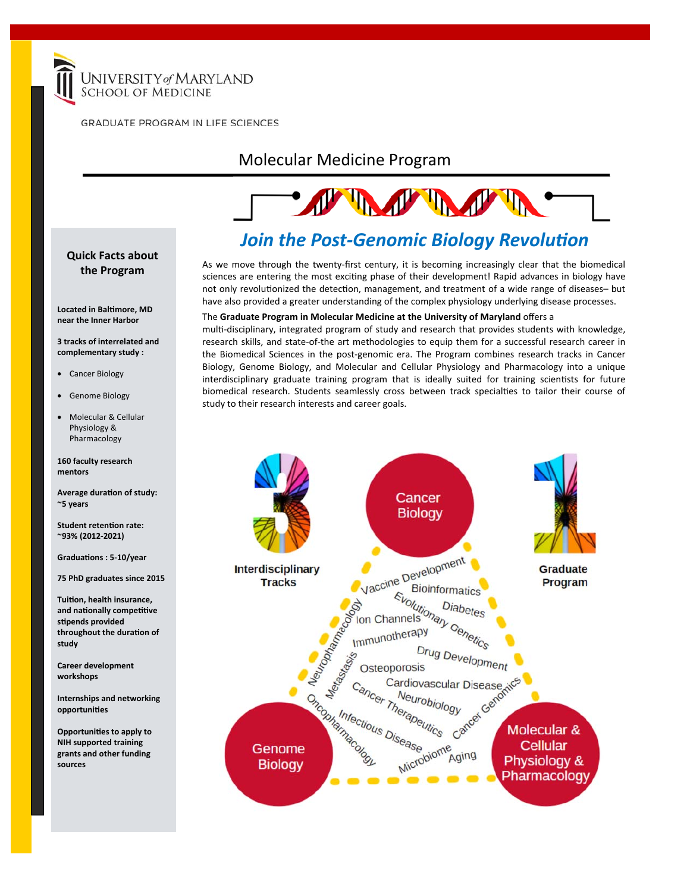

**GRADUATE PROGRAM IN LIFE SCIENCES** 

### Molecular Medicine Program

# The Telephone of the Telephone

### **Join the Post-Genomic Biology Revolution**

As we move through the twenty‐first century, it is becoming increasingly clear that the biomedical sciences are entering the most exciting phase of their development! Rapid advances in biology have not only revolutionized the detection, management, and treatment of a wide range of diseases- but have also provided a greater understanding of the complex physiology underlying disease processes.

#### The **Graduate Program in Molecular Medicine at the University of Maryland** offers a

multi-disciplinary, integrated program of study and research that provides students with knowledge, research skills, and state‐of‐the art methodologies to equip them for a successful research career in the Biomedical Sciences in the post-genomic era. The Program combines research tracks in Cancer Biology, Genome Biology, and Molecular and Cellular Physiology and Pharmacology into a unique interdisciplinary graduate training program that is ideally suited for training scientists for future biomedical research. Students seamlessly cross between track specialties to tailor their course of study to their research interests and career goals.



#### **Quick Facts about the Program**

**Located in BalƟmore, MD near the Inner Harbor** 

**3 tracks of interrelated and complementary study :** 

- Cancer Biology
- Genome Biology
- Molecular & Cellular Physiology & Pharmacology

**160 faculty research mentors** 

**Average duraƟon of study: ~5 years** 

**Student retenƟon rate: ~93% (2012‐2021)** 

**GraduaƟons : 5‐10/year** 

**75 PhD graduates since 2015** 

**TuiƟon, health insurance, and naƟonally compeƟƟve sƟpends provided throughout the duraƟon of study** 

**Career development workshops** 

**Internships and networking opportuniƟes** 

**OpportuniƟes to apply to NIH supported training grants and other funding sources**